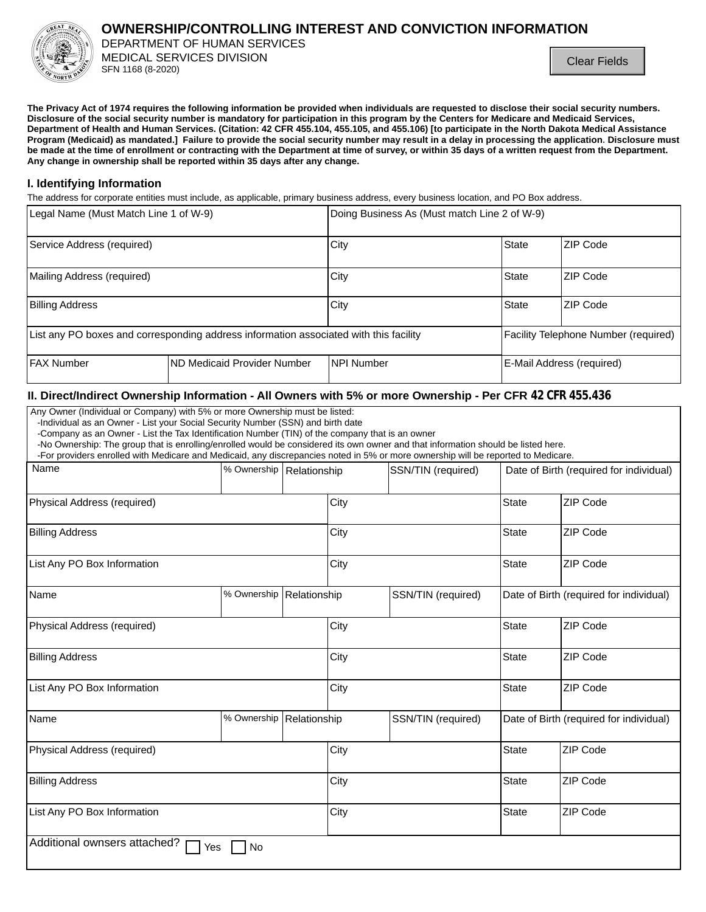

# **OWNERSHIP/CONTROLLING INTEREST AND CONVICTION INFORMATION**

DEPARTMENT OF HUMAN SERVICES MEDICAL SERVICES DIVISION SFN 1168 (8-2020)

The Privacy Act of 1974 requires the following information be provided when individuals are requested to disclose their social security numbers. Disclosure of the social security number is mandatory for participation in this program by the Centers for Medicare and Medicaid Services, Department of Health and Human Services. (Citation: 42 CFR 455.104, 455.105, and 455.106) [to participate in the North Dakota Medical Assistance Program (Medicaid) as mandated.] Failure to provide the social security number may result in a delay in processing the application. Disclosure must be made at the time of enrollment or contracting with the Department at time of survey, or within 35 days of a written request from the Department. Any change in ownership shall be reported within 35 days after any change.

## I. Identifying Information

The address for corporate entities must include, as applicable, primary business address, every business location, and PO Box address.

| Legal Name (Must Match Line 1 of W-9)                                                 |                              | Doing Business As (Must match Line 2 of W-9) |                                      |                           |
|---------------------------------------------------------------------------------------|------------------------------|----------------------------------------------|--------------------------------------|---------------------------|
| Service Address (required)                                                            |                              | City                                         | <b>State</b>                         | ZIP Code                  |
| Mailing Address (required)                                                            |                              | City                                         | <b>State</b>                         | ZIP Code                  |
| <b>Billing Address</b>                                                                |                              | City                                         | <b>State</b>                         | ZIP Code                  |
| List any PO boxes and corresponding address information associated with this facility |                              |                                              | Facility Telephone Number (required) |                           |
| <b>FAX Number</b>                                                                     | IND Medicaid Provider Number | NPI Number                                   |                                      | E-Mail Address (required) |

## II. Direct/Indirect Ownership Information - All Owners with 5% or more Ownership - Per CFR 42 CFR 455.436

Any Owner (Individual or Company) with 5% or more Ownership must be listed:

-Individual as an Owner - List your Social Security Number (SSN) and birth date

-Company as an Owner - List the Tax Identification Number (TIN) of the company that is an owner

-No Ownership: The group that is enrolling/enrolled would be considered its own owner and that information should be listed here.

-For providers enrolled with Medicare and Medicaid, any discrepancies noted in 5% or more ownership will be reported to Medicare.

| Name                                | % Ownership | Relationship |      | SSN/TIN (required) |              | Date of Birth (required for individual) |
|-------------------------------------|-------------|--------------|------|--------------------|--------------|-----------------------------------------|
| Physical Address (required)         |             |              | City |                    | State        | ZIP Code                                |
| <b>Billing Address</b>              |             |              | City |                    | <b>State</b> | ZIP Code                                |
| List Any PO Box Information         |             | City         |      | <b>State</b>       | ZIP Code     |                                         |
| Name                                | % Ownership | Relationship |      | SSN/TIN (required) |              | Date of Birth (required for individual) |
| Physical Address (required)         |             |              | City |                    | <b>State</b> | ZIP Code                                |
| <b>Billing Address</b>              |             |              | City |                    | <b>State</b> | <b>ZIP Code</b>                         |
| List Any PO Box Information         |             |              | City |                    | State        | ZIP Code                                |
| Name                                | % Ownership | Relationship |      | SSN/TIN (required) |              | Date of Birth (required for individual) |
| Physical Address (required)         |             | City         |      | <b>State</b>       | ZIP Code     |                                         |
| <b>Billing Address</b>              |             | City         |      | <b>State</b>       | ZIP Code     |                                         |
| List Any PO Box Information         |             |              | City |                    | <b>State</b> | ZIP Code                                |
| Additional ownsers attached?<br>Yes | No          |              |      |                    |              |                                         |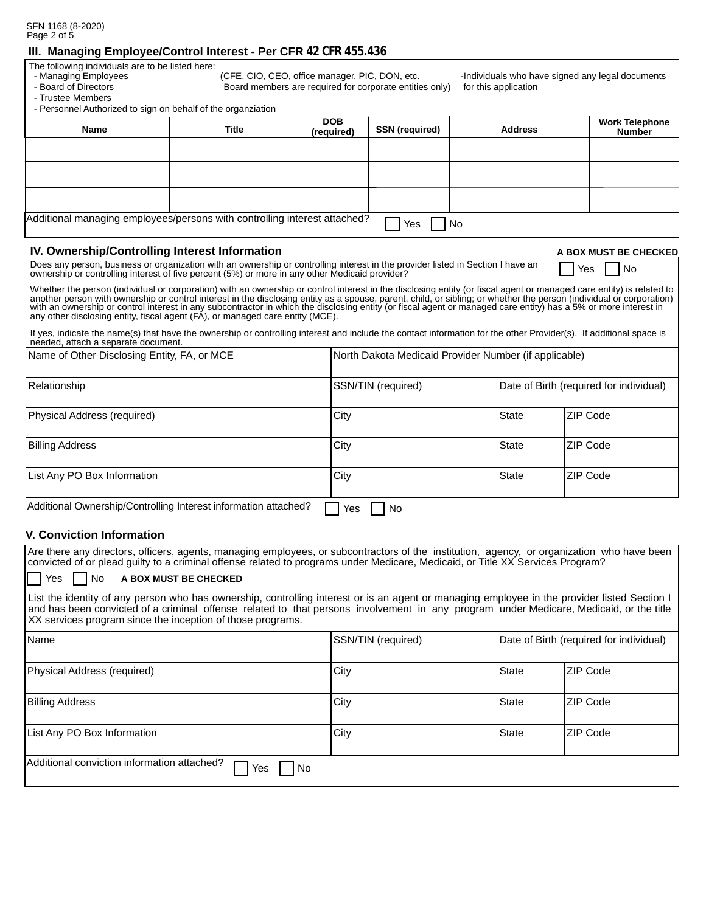|             | SFN 1168 (8-2020) |
|-------------|-------------------|
| Page 2 of 5 |                   |

## III. Managing Employee/Control Interest - Per CFR 42 CFR 455.436

The following individuals are to be listed here:

- Managing Employees

- Board of Directors

- Trustee Members

(CFE, CIO, CEO, office manager, PIC, DON, etc. Board members are required for corporate entities only) -Individuals who have signed any legal documents for this application

A BOX MUST BE CHECKED

No.

Yes

| - Personnel Authorized to sign on behalf of the organziation |  |
|--------------------------------------------------------------|--|
|                                                              |  |

| Name                                                                                   | <b>Title</b> | <b>DOB</b><br>(required) | <b>SSN</b> (required) | <b>Address</b> | <b>Work Telephone</b><br><b>Number</b> |
|----------------------------------------------------------------------------------------|--------------|--------------------------|-----------------------|----------------|----------------------------------------|
|                                                                                        |              |                          |                       |                |                                        |
|                                                                                        |              |                          |                       |                |                                        |
|                                                                                        |              |                          |                       |                |                                        |
| Additional managing employees/persons with controlling interest attached?<br>Yes<br>No |              |                          |                       |                |                                        |

## IV. Ownership/Controlling Interest Information

Does any person, business or organization with an ownership or controlling interest in the provider listed in Section I have an ownership or controlling interest of five percent (5%) or more in any other Medicaid provider?

Whether the person (individual or corporation) with an ownership or control interest in the disclosing entity (or fiscal agent or managed care entity) is related to another person (individual or control interest in the dis any other disclosing entity, fiscal agent (FA), or managed care entity (MCE).

If yes, indicate the name(s) that have the ownership or controlling interest and include the contact information for the other Provider(s). If additional space is needed, attach a separate document.

| Name of Other Disclosing Entity, FA, or MCE                                  | North Dakota Medicaid Provider Number (if applicable) |              |                                         |
|------------------------------------------------------------------------------|-------------------------------------------------------|--------------|-----------------------------------------|
| Relationship                                                                 | SSN/TIN (required)                                    |              | Date of Birth (required for individual) |
| Physical Address (required)                                                  | City                                                  | <b>State</b> | ZIP Code                                |
| <b>Billing Address</b>                                                       | City                                                  | <b>State</b> | ZIP Code                                |
| List Any PO Box Information                                                  | City                                                  | <b>State</b> | ZIP Code                                |
| Additional Ownership/Controlling Interest information attached?<br>No<br>Yes |                                                       |              |                                         |

## **V. Conviction Information**

Are there any directors, officers, agents, managing employees, or subcontractors of the institution, agency, or organization who have been convicted of or plead quilty to a criminal offense related to programs under Medicare, Medicaid, or Title XX Services Program? l No A BOX MUST BE CHECKED Yes List the identity of any person who has ownership, controlling interest or is an agent or managing employee in the provider listed Section I

and has been convicted of a criminal offense related to that persons involvement in any program under Medicare, Medicaid, or the title XX services program since the inception of those programs.

| Name                                                     | SSN/TIN (required) |              | Date of Birth (required for individual) |
|----------------------------------------------------------|--------------------|--------------|-----------------------------------------|
| Physical Address (required)                              | City               | <b>State</b> | ZIP Code                                |
| <b>Billing Address</b>                                   | City               | <b>State</b> | ZIP Code                                |
| List Any PO Box Information                              | City               | State        | ZIP Code                                |
| Additional conviction information attached?<br>No<br>Yes |                    |              |                                         |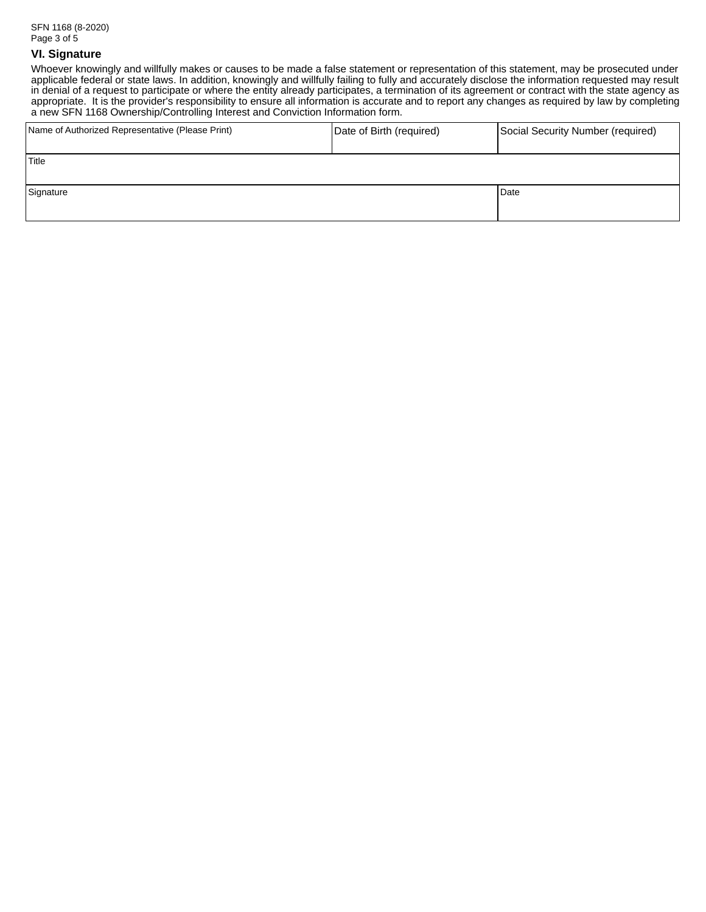# **VI. Signature**

Whoever knowingly and willfully makes or causes to be made a false statement or representation of this statement, may be prosecuted under applicable federal or state laws. In addition, knowingly and willfully failing to fully and accurately disclose the information requested may result<br>in denial of a request to participate or where the entity already partici a new SFN 1168 Ownership/Controlling Interest and Conviction Information form.

| Name of Authorized Representative (Please Print) | Date of Birth (required) | Social Security Number (required) |
|--------------------------------------------------|--------------------------|-----------------------------------|
| Title                                            |                          |                                   |
| Signature                                        |                          | Date                              |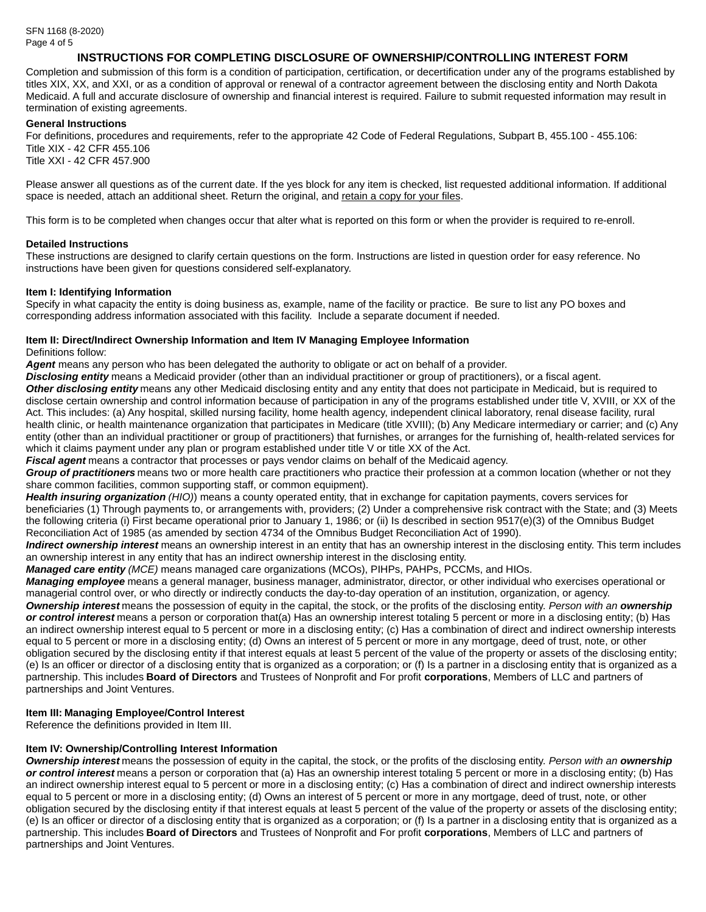# INSTRUCTIONS FOR COMPLETING DISCLOSURE OF OWNERSHIP/CONTROLLING INTEREST FORM

Completion and submission of this form is a condition of participation, certification, or decertification under any of the programs established by titles XIX, XX, and XXI, or as a condition of approval or renewal of a contractor agreement between the disclosing entity and North Dakota Medicaid. A full and accurate disclosure of ownership and financial interest is required. Failure to submit requested information may result in termination of existing agreements.

#### **General Instructions**

For definitions, procedures and requirements, refer to the appropriate 42 Code of Federal Regulations, Subpart B, 455.100 - 455.106: Title XIX - 42 CFR 455.106

Title XXI - 42 CFR 457.900

Please answer all questions as of the current date. If the yes block for any item is checked, list requested additional information. If additional space is needed, attach an additional sheet. Return the original, and retain a copy for your files.

This form is to be completed when changes occur that alter what is reported on this form or when the provider is required to re-enroll.

#### **Detailed Instructions**

These instructions are designed to clarify certain questions on the form. Instructions are listed in question order for easy reference. No instructions have been given for questions considered self-explanatory.

#### Item I: Identifying Information

Specify in what capacity the entity is doing business as, example, name of the facility or practice. Be sure to list any PO boxes and corresponding address information associated with this facility. Include a separate document if needed.

# Item II: Direct/Indirect Ownership Information and Item IV Managing Employee Information

Definitions follow:

Agent means any person who has been delegated the authority to obligate or act on behalf of a provider.

Disclosing entity means a Medicaid provider (other than an individual practitioner or group of practitioners), or a fiscal agent.

Other disclosing entity means any other Medicaid disclosing entity and any entity that does not participate in Medicaid, but is required to disclose certain ownership and control information because of participation in any of the programs established under title V, XVIII, or XX of the Act. This includes: (a) Any hospital, skilled nursing facility, home health agency, independent clinical laboratory, renal disease facility, rural health clinic, or health maintenance organization that participates in Medicare (title XVIII); (b) Any Medicare intermediary or carrier; and (c) Any entity (other than an individual practitioner or group of practitioners) that furnishes, or arranges for the furnishing of, health-related services for which it claims payment under any plan or program established under title V or title XX of the Act.

Fiscal agent means a contractor that processes or pays vendor claims on behalf of the Medicaid agency.

Group of practitioners means two or more health care practitioners who practice their profession at a common location (whether or not they share common facilities, common supporting staff, or common equipment).

Health insuring organization (HIO)) means a county operated entity, that in exchange for capitation payments, covers services for beneficiaries (1) Through payments to, or arrangements with, providers; (2) Under a comprehensive risk contract with the State; and (3) Meets the following criteria (i) First became operational prior to January 1, 1986; or (ii) Is described in section 9517(e)(3) of the Omnibus Budget Reconciliation Act of 1985 (as amended by section 4734 of the Omnibus Budget Reconciliation Act of 1990).

Indirect ownership interest means an ownership interest in an entity that has an ownership interest in the disclosing entity. This term includes an ownership interest in any entity that has an indirect ownership interest in the disclosing entity.

Managed care entity (MCE) means managed care organizations (MCOs), PIHPs, PAHPs, PCCMs, and HIOs.

Managing employee means a general manager, business manager, administrator, director, or other individual who exercises operational or managerial control over, or who directly or indirectly conducts the day-to-day operation of an institution, organization, or agency.

**Ownership interest** means the possession of equity in the capital, the stock, or the profits of the disclosing entity. Person with an **ownership** or control interest means a person or corporation that(a) Has an ownership interest totaling 5 percent or more in a disclosing entity: (b) Has an indirect ownership interest equal to 5 percent or more in a disclosing entity: (c) Has a combination of direct and indirect ownership interests equal to 5 percent or more in a disclosing entity; (d) Owns an interest of 5 percent or more in any mortgage, deed of trust, note, or other obligation secured by the disclosing entity if that interest equals at least 5 percent of the value of the property or assets of the disclosing entity; (e) Is an officer or director of a disclosing entity that is organized as a corporation; or (f) Is a partner in a disclosing entity that is organized as a partnership. This includes Board of Directors and Trustees of Nonprofit and For profit corporations, Members of LLC and partners of partnerships and Joint Ventures.

## Item III: Managing Employee/Control Interest

Reference the definitions provided in Item III.

## Item IV: Ownership/Controlling Interest Information

Ownership interest means the possession of equity in the capital, the stock, or the profits of the disclosing entity. Person with an ownership or control interest means a person or corporation that (a) Has an ownership interest totaling 5 percent or more in a disclosing entity; (b) Has an indirect ownership interest equal to 5 percent or more in a disclosing entity; (c) Has a combination of direct and indirect ownership interests equal to 5 percent or more in a disclosing entity: (d) Owns an interest of 5 percent or more in any mortgage, deed of trust, note, or other obligation secured by the disclosing entity if that interest equals at least 5 percent of the value of the property or assets of the disclosing entity; (e) Is an officer or director of a disclosing entity that is organized as a corporation; or (f) Is a partner in a disclosing entity that is organized as a partnership. This includes **Board of Directors** and Trustees of Nonprofit and For profit corporations, Members of LLC and partners of partnerships and Joint Ventures.